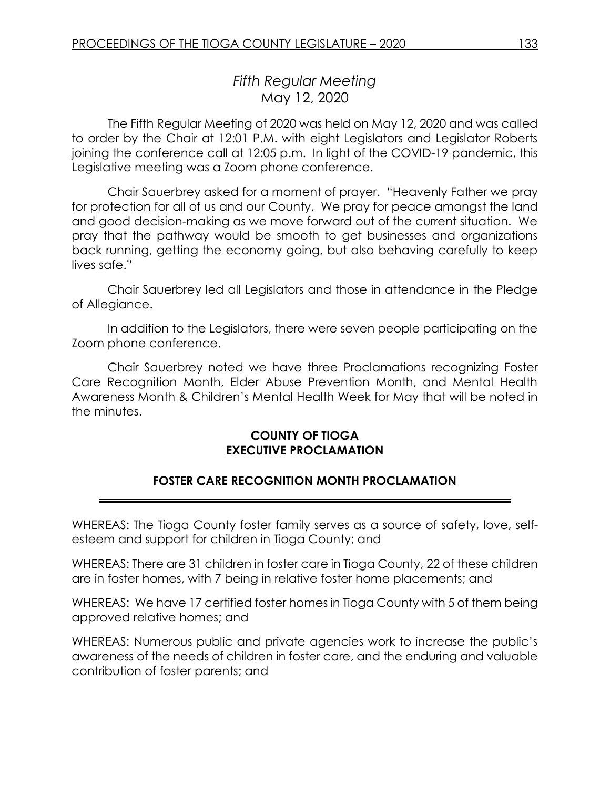# *Fifth Regular Meeting* May 12, 2020

The Fifth Regular Meeting of 2020 was held on May 12, 2020 and was called to order by the Chair at 12:01 P.M. with eight Legislators and Legislator Roberts joining the conference call at 12:05 p.m. In light of the COVID-19 pandemic, this Legislative meeting was a Zoom phone conference.

Chair Sauerbrey asked for a moment of prayer. "Heavenly Father we pray for protection for all of us and our County. We pray for peace amongst the land and good decision-making as we move forward out of the current situation. We pray that the pathway would be smooth to get businesses and organizations back running, getting the economy going, but also behaving carefully to keep lives safe."

Chair Sauerbrey led all Legislators and those in attendance in the Pledge of Allegiance.

In addition to the Legislators, there were seven people participating on the Zoom phone conference.

Chair Sauerbrey noted we have three Proclamations recognizing Foster Care Recognition Month, Elder Abuse Prevention Month, and Mental Health Awareness Month & Children's Mental Health Week for May that will be noted in the minutes.

### **COUNTY OF TIOGA EXECUTIVE PROCLAMATION**

### **FOSTER CARE RECOGNITION MONTH PROCLAMATION**

WHEREAS: The Tioga County foster family serves as a source of safety, love, selfesteem and support for children in Tioga County; and

WHEREAS: There are 31 children in foster care in Tioga County, 22 of these children are in foster homes, with 7 being in relative foster home placements; and

WHEREAS: We have 17 certified foster homes in Tioga County with 5 of them being approved relative homes; and

WHEREAS: Numerous public and private agencies work to increase the public's awareness of the needs of children in foster care, and the enduring and valuable contribution of foster parents; and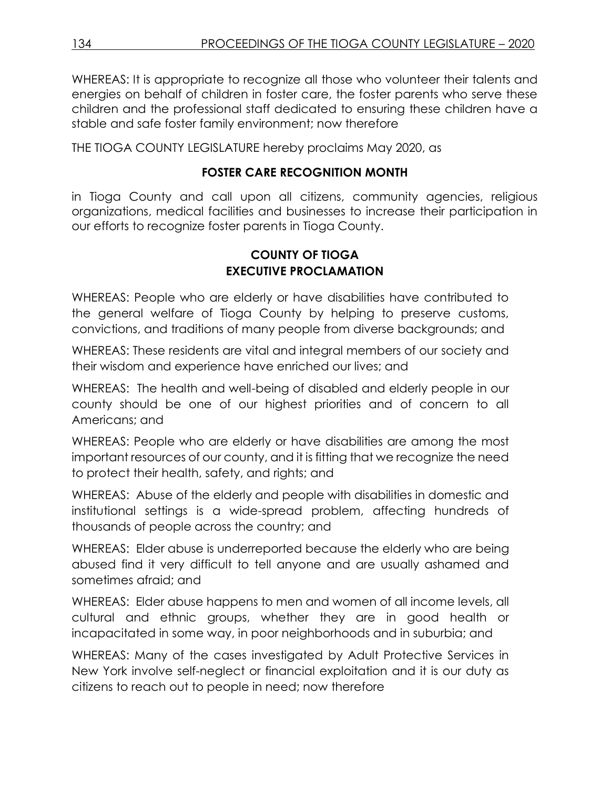WHEREAS: It is appropriate to recognize all those who volunteer their talents and energies on behalf of children in foster care, the foster parents who serve these children and the professional staff dedicated to ensuring these children have a stable and safe foster family environment; now therefore

THE TIOGA COUNTY LEGISLATURE hereby proclaims May 2020, as

### **FOSTER CARE RECOGNITION MONTH**

in Tioga County and call upon all citizens, community agencies, religious organizations, medical facilities and businesses to increase their participation in our efforts to recognize foster parents in Tioga County.

# **COUNTY OF TIOGA EXECUTIVE PROCLAMATION**

WHEREAS: People who are elderly or have disabilities have contributed to the general welfare of Tioga County by helping to preserve customs, convictions, and traditions of many people from diverse backgrounds; and

WHEREAS: These residents are vital and integral members of our society and their wisdom and experience have enriched our lives; and

WHEREAS: The health and well-being of disabled and elderly people in our county should be one of our highest priorities and of concern to all Americans; and

WHEREAS: People who are elderly or have disabilities are among the most important resources of our county, and it is fitting that we recognize the need to protect their health, safety, and rights; and

WHEREAS: Abuse of the elderly and people with disabilities in domestic and institutional settings is a wide-spread problem, affecting hundreds of thousands of people across the country; and

WHEREAS: Elder abuse is underreported because the elderly who are being abused find it very difficult to tell anyone and are usually ashamed and sometimes afraid; and

WHEREAS: Elder abuse happens to men and women of all income levels, all cultural and ethnic groups, whether they are in good health or incapacitated in some way, in poor neighborhoods and in suburbia; and

WHEREAS: Many of the cases investigated by Adult Protective Services in New York involve self-neglect or financial exploitation and it is our duty as citizens to reach out to people in need; now therefore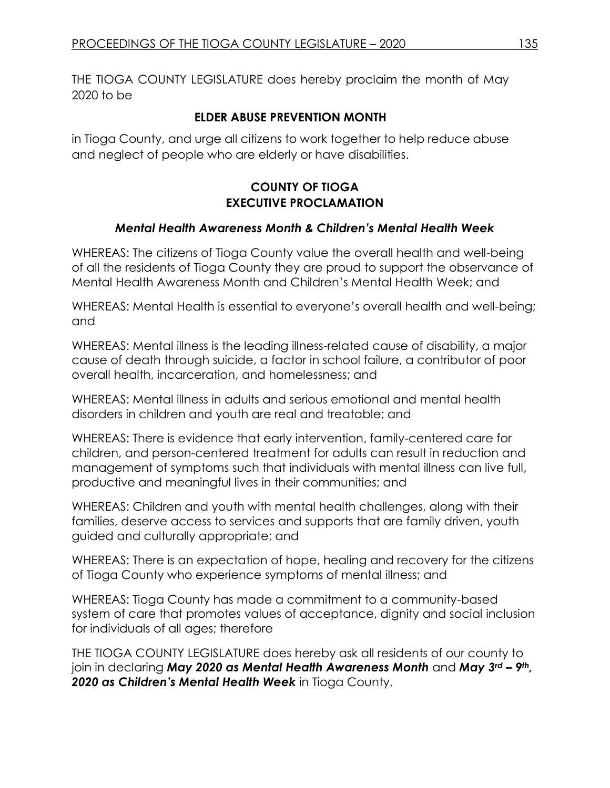THE TIOGA COUNTY LEGISLATURE does hereby proclaim the month of May 2020 to be

# **ELDER ABUSE PREVENTION MONTH**

in Tioga County, and urge all citizens to work together to help reduce abuse and neglect of people who are elderly or have disabilities.

# **COUNTY OF TIOGA EXECUTIVE PROCLAMATION**

# *Mental Health Awareness Month & Children's Mental Health Week*

WHEREAS: The citizens of Tioga County value the overall health and well-being of all the residents of Tioga County they are proud to support the observance of Mental Health Awareness Month and Children's Mental Health Week; and

WHEREAS: Mental Health is essential to everyone's overall health and well-being; and

WHEREAS: Mental illness is the leading illness-related cause of disability, a major cause of death through suicide, a factor in school failure, a contributor of poor overall health, incarceration, and homelessness; and

WHEREAS: Mental illness in adults and serious emotional and mental health disorders in children and youth are real and treatable; and

WHEREAS: There is evidence that early intervention, family-centered care for children, and person-centered treatment for adults can result in reduction and management of symptoms such that individuals with mental illness can live full, productive and meaningful lives in their communities; and

WHEREAS: Children and youth with mental health challenges, along with their families, deserve access to services and supports that are family driven, youth guided and culturally appropriate; and

WHEREAS: There is an expectation of hope, healing and recovery for the citizens of Tioga County who experience symptoms of mental illness; and

WHEREAS: Tioga County has made a commitment to a community-based system of care that promotes values of acceptance, dignity and social inclusion for individuals of all ages; therefore

THE TIOGA COUNTY LEGISLATURE does hereby ask all residents of our county to join in declaring *May 2020 as Mental Health Awareness Month* and *May 3rd – 9th, 2020 as Children's Mental Health Week* in Tioga County.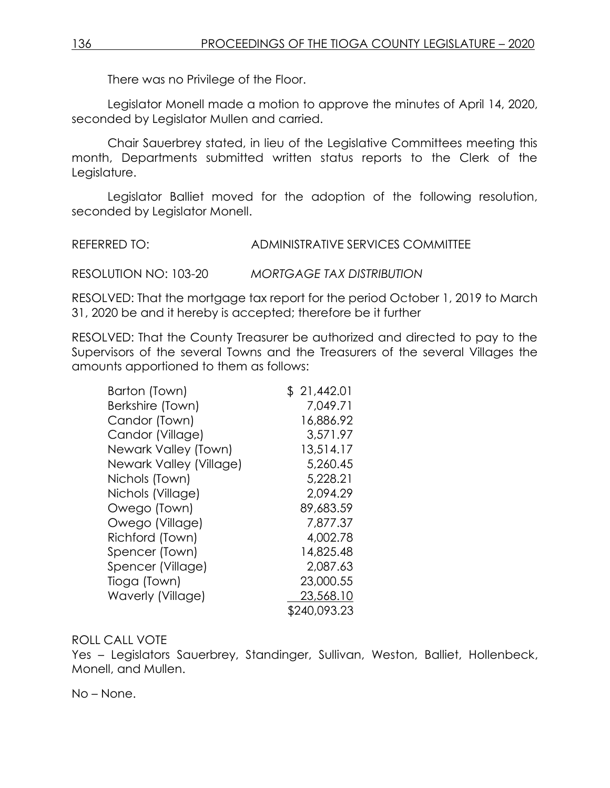There was no Privilege of the Floor.

Legislator Monell made a motion to approve the minutes of April 14, 2020, seconded by Legislator Mullen and carried.

Chair Sauerbrey stated, in lieu of the Legislative Committees meeting this month, Departments submitted written status reports to the Clerk of the Legislature.

Legislator Balliet moved for the adoption of the following resolution, seconded by Legislator Monell.

| REFERRED TO: | ADMINISTRATIVE SERVICES COMMITTEE |
|--------------|-----------------------------------|
|              |                                   |

RESOLUTION NO: 103-20 *MORTGAGE TAX DISTRIBUTION*

RESOLVED: That the mortgage tax report for the period October 1, 2019 to March 31, 2020 be and it hereby is accepted; therefore be it further

RESOLVED: That the County Treasurer be authorized and directed to pay to the Supervisors of the several Towns and the Treasurers of the several Villages the amounts apportioned to them as follows:

| Barton (Town)           | \$21,442.01  |
|-------------------------|--------------|
| Berkshire (Town)        | 7,049.71     |
| Candor (Town)           | 16,886.92    |
| Candor (Village)        | 3,571.97     |
| Newark Valley (Town)    | 13,514.17    |
| Newark Valley (Village) | 5,260.45     |
| Nichols (Town)          | 5,228.21     |
| Nichols (Village)       | 2,094.29     |
| Owego (Town)            | 89,683.59    |
| Owego (Village)         | 7,877.37     |
| Richford (Town)         | 4,002.78     |
| Spencer (Town)          | 14,825.48    |
| Spencer (Village)       | 2,087.63     |
| Tioga (Town)            | 23,000.55    |
| Waverly (Village)       | 23,568.10    |
|                         | \$240,093.23 |

#### ROLL CALL VOTE

Yes – Legislators Sauerbrey, Standinger, Sullivan, Weston, Balliet, Hollenbeck, Monell, and Mullen.

No – None.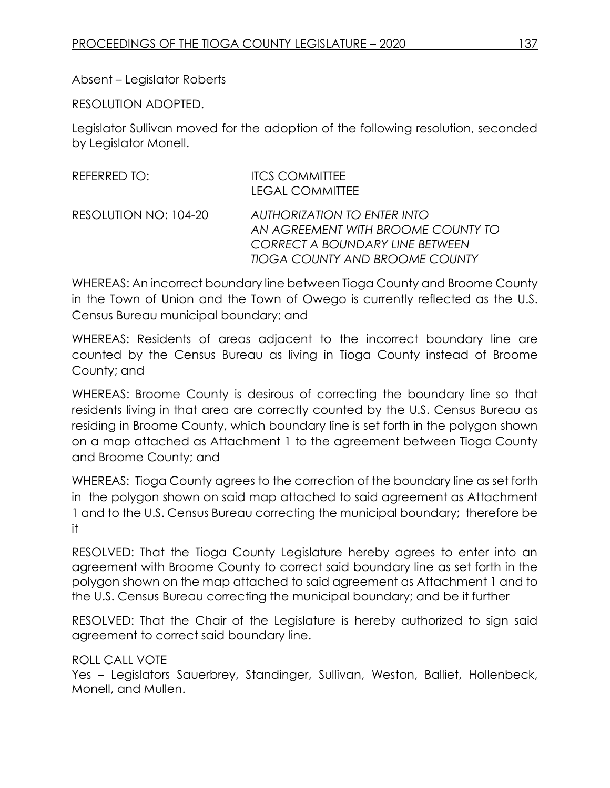### Absent – Legislator Roberts

RESOLUTION ADOPTED.

Legislator Sullivan moved for the adoption of the following resolution, seconded by Legislator Monell.

| REFERRED TO:          | <b>ITCS COMMITTEE</b><br><b>LEGAL COMMITTEE</b>                                                                                                      |
|-----------------------|------------------------------------------------------------------------------------------------------------------------------------------------------|
| RESOLUTION NO: 104-20 | <b>AUTHORIZATION TO ENTER INTO</b><br>AN AGREEMENT WITH BROOME COUNTY TO<br>CORRECT A BOUNDARY LINE BETWEEN<br><b>TIOGA COUNTY AND BROOME COUNTY</b> |

WHEREAS: An incorrect boundary line between Tioga County and Broome County in the Town of Union and the Town of Owego is currently reflected as the U.S. Census Bureau municipal boundary; and

WHEREAS: Residents of areas adjacent to the incorrect boundary line are counted by the Census Bureau as living in Tioga County instead of Broome County; and

WHEREAS: Broome County is desirous of correcting the boundary line so that residents living in that area are correctly counted by the U.S. Census Bureau as residing in Broome County, which boundary line is set forth in the polygon shown on a map attached as Attachment 1 to the agreement between Tioga County and Broome County; and

WHEREAS: Tioga County agrees to the correction of the boundary line as set forth in the polygon shown on said map attached to said agreement as Attachment 1 and to the U.S. Census Bureau correcting the municipal boundary; therefore be it

RESOLVED: That the Tioga County Legislature hereby agrees to enter into an agreement with Broome County to correct said boundary line as set forth in the polygon shown on the map attached to said agreement as Attachment 1 and to the U.S. Census Bureau correcting the municipal boundary; and be it further

RESOLVED: That the Chair of the Legislature is hereby authorized to sign said agreement to correct said boundary line.

#### ROLL CALL VOTE

Yes – Legislators Sauerbrey, Standinger, Sullivan, Weston, Balliet, Hollenbeck, Monell, and Mullen.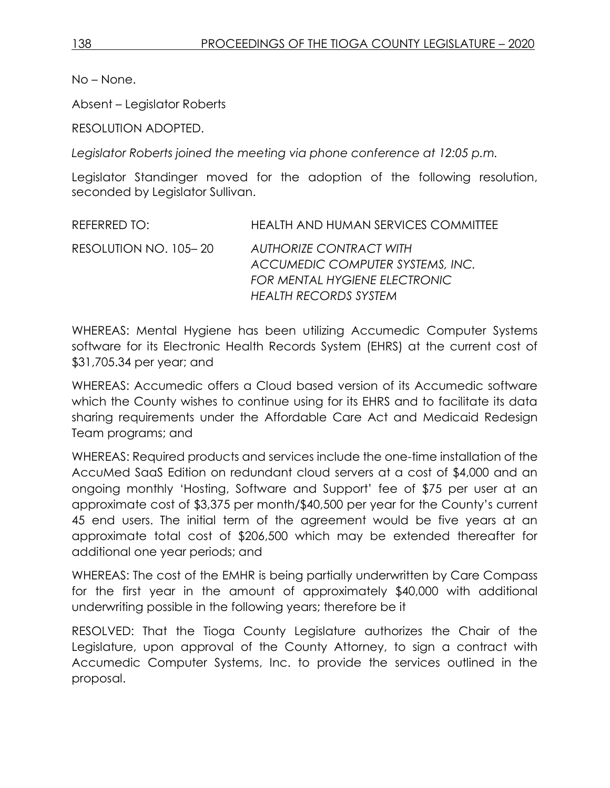Absent – Legislator Roberts

RESOLUTION ADOPTED.

*Legislator Roberts joined the meeting via phone conference at 12:05 p.m.*

Legislator Standinger moved for the adoption of the following resolution, seconded by Legislator Sullivan.

| REFERRED TO:          | <b>HEALTH AND HUMAN SERVICES COMMITTEE</b>                         |
|-----------------------|--------------------------------------------------------------------|
| RESOLUTION NO. 105-20 | <b>AUTHORIZE CONTRACT WITH</b><br>ACCUMEDIC COMPUTER SYSTEMS, INC. |
|                       | <b>FOR MENTAL HYGIENE ELECTRONIC</b>                               |
|                       | <b>HEALTH RECORDS SYSTEM</b>                                       |

WHEREAS: Mental Hygiene has been utilizing Accumedic Computer Systems software for its Electronic Health Records System (EHRS) at the current cost of \$31,705.34 per year; and

WHEREAS: Accumedic offers a Cloud based version of its Accumedic software which the County wishes to continue using for its EHRS and to facilitate its data sharing requirements under the Affordable Care Act and Medicaid Redesign Team programs; and

WHEREAS: Required products and services include the one-time installation of the AccuMed SaaS Edition on redundant cloud servers at a cost of \$4,000 and an ongoing monthly 'Hosting, Software and Support' fee of \$75 per user at an approximate cost of \$3,375 per month/\$40,500 per year for the County's current 45 end users. The initial term of the agreement would be five years at an approximate total cost of \$206,500 which may be extended thereafter for additional one year periods; and

WHEREAS: The cost of the EMHR is being partially underwritten by Care Compass for the first year in the amount of approximately \$40,000 with additional underwriting possible in the following years; therefore be it

RESOLVED: That the Tioga County Legislature authorizes the Chair of the Legislature, upon approval of the County Attorney, to sign a contract with Accumedic Computer Systems, Inc. to provide the services outlined in the proposal.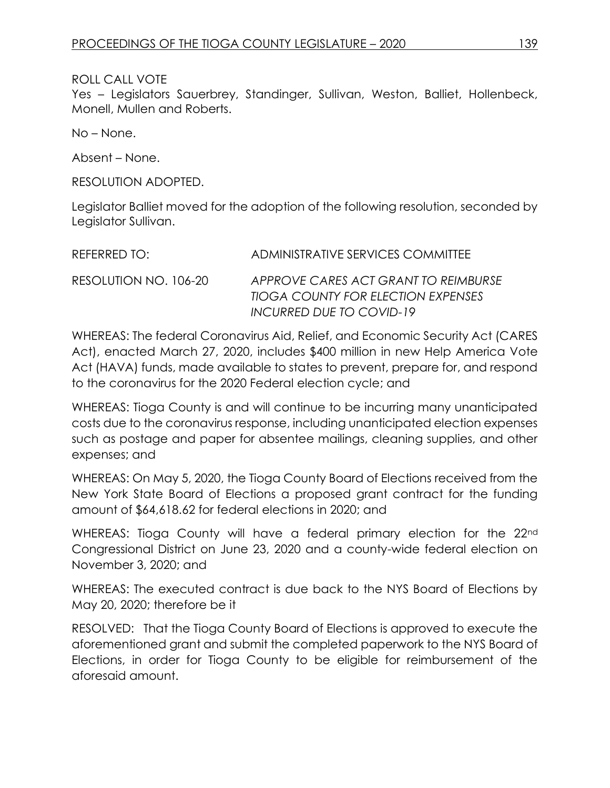### ROLL CALL VOTE

Yes – Legislators Sauerbrey, Standinger, Sullivan, Weston, Balliet, Hollenbeck, Monell, Mullen and Roberts.

No – None.

Absent – None.

RESOLUTION ADOPTED.

Legislator Balliet moved for the adoption of the following resolution, seconded by Legislator Sullivan.

| REFERRED TO:          | ADMINISTRATIVE SERVICES COMMITTEE                                                                             |
|-----------------------|---------------------------------------------------------------------------------------------------------------|
| RESOLUTION NO. 106-20 | APPROVE CARES ACT GRANT TO REIMBURSE<br><b>TIOGA COUNTY FOR ELECTION EXPENSES</b><br>INCURRED DUE TO COVID-19 |

WHEREAS: The federal Coronavirus Aid, Relief, and Economic Security Act (CARES Act), enacted March 27, 2020, includes \$400 million in new Help America Vote Act (HAVA) funds, made available to states to prevent, prepare for, and respond to the coronavirus for the 2020 Federal election cycle; and

WHEREAS: Tioga County is and will continue to be incurring many unanticipated costs due to the coronavirus response, including unanticipated election expenses such as postage and paper for absentee mailings, cleaning supplies, and other expenses; and

WHEREAS: On May 5, 2020, the Tioga County Board of Elections received from the New York State Board of Elections a proposed grant contract for the funding amount of \$64,618.62 for federal elections in 2020; and

WHEREAS: Tioga County will have a federal primary election for the 22<sup>nd</sup> Congressional District on June 23, 2020 and a county-wide federal election on November 3, 2020; and

WHEREAS: The executed contract is due back to the NYS Board of Elections by May 20, 2020; therefore be it

RESOLVED: That the Tioga County Board of Elections is approved to execute the aforementioned grant and submit the completed paperwork to the NYS Board of Elections, in order for Tioga County to be eligible for reimbursement of the aforesaid amount.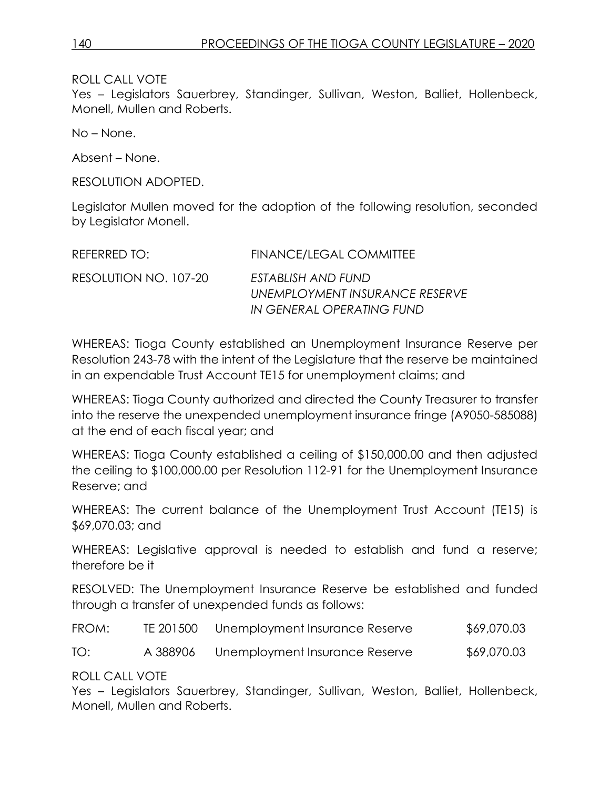ROLL CALL VOTE

Yes – Legislators Sauerbrey, Standinger, Sullivan, Weston, Balliet, Hollenbeck, Monell, Mullen and Roberts.

No – None.

Absent – None.

RESOLUTION ADOPTED.

Legislator Mullen moved for the adoption of the following resolution, seconded by Legislator Monell.

| REFERRED TO:          | FINANCE/LEGAL COMMITTEE                                                           |
|-----------------------|-----------------------------------------------------------------------------------|
| RESOLUTION NO. 107-20 | FSTABLISH AND FUND<br>UNEMPLOYMENT INSURANCE RESERVE<br>IN GENERAL OPERATING FUND |

WHEREAS: Tioga County established an Unemployment Insurance Reserve per Resolution 243-78 with the intent of the Legislature that the reserve be maintained in an expendable Trust Account TE15 for unemployment claims; and

WHEREAS: Tioga County authorized and directed the County Treasurer to transfer into the reserve the unexpended unemployment insurance fringe (A9050-585088) at the end of each fiscal year; and

WHEREAS: Tioga County established a ceiling of \$150,000.00 and then adjusted the ceiling to \$100,000.00 per Resolution 112-91 for the Unemployment Insurance Reserve; and

WHEREAS: The current balance of the Unemployment Trust Account (TE15) is \$69,070.03; and

WHEREAS: Legislative approval is needed to establish and fund a reserve; therefore be it

RESOLVED: The Unemployment Insurance Reserve be established and funded through a transfer of unexpended funds as follows:

| FROM: | TE 201500 | Unemployment Insurance Reserve | \$69,070.03 |
|-------|-----------|--------------------------------|-------------|
| TO:   | A 388906  | Unemployment Insurance Reserve | \$69,070.03 |

ROLL CALL VOTE

Yes – Legislators Sauerbrey, Standinger, Sullivan, Weston, Balliet, Hollenbeck, Monell, Mullen and Roberts.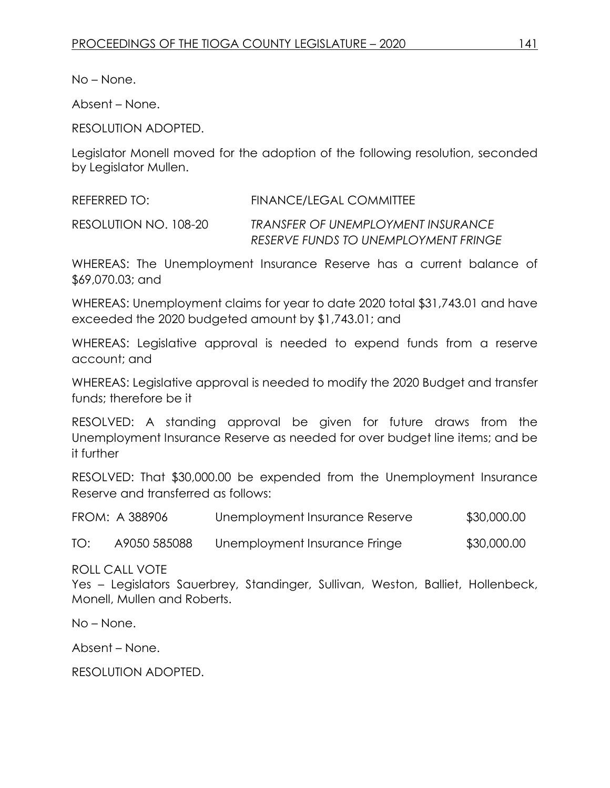Absent – None.

RESOLUTION ADOPTED.

Legislator Monell moved for the adoption of the following resolution, seconded by Legislator Mullen.

REFERRED TO: FINANCE/LEGAL COMMITTEE

RESOLUTION NO. 108-20 *TRANSFER OF UNEMPLOYMENT INSURANCE RESERVE FUNDS TO UNEMPLOYMENT FRINGE*

WHEREAS: The Unemployment Insurance Reserve has a current balance of \$69,070.03; and

WHEREAS: Unemployment claims for year to date 2020 total \$31,743.01 and have exceeded the 2020 budgeted amount by \$1,743.01; and

WHEREAS: Legislative approval is needed to expend funds from a reserve account; and

WHEREAS: Legislative approval is needed to modify the 2020 Budget and transfer funds; therefore be it

RESOLVED: A standing approval be given for future draws from the Unemployment Insurance Reserve as needed for over budget line items; and be it further

RESOLVED: That \$30,000.00 be expended from the Unemployment Insurance Reserve and transferred as follows:

|     | FROM: A 388906 | Unemployment Insurance Reserve | \$30,000.00 |
|-----|----------------|--------------------------------|-------------|
| TO: | A9050 585088   | Unemployment Insurance Fringe  | \$30,000.00 |

ROLL CALL VOTE

Yes – Legislators Sauerbrey, Standinger, Sullivan, Weston, Balliet, Hollenbeck, Monell, Mullen and Roberts.

No – None.

Absent – None.

RESOLUTION ADOPTED.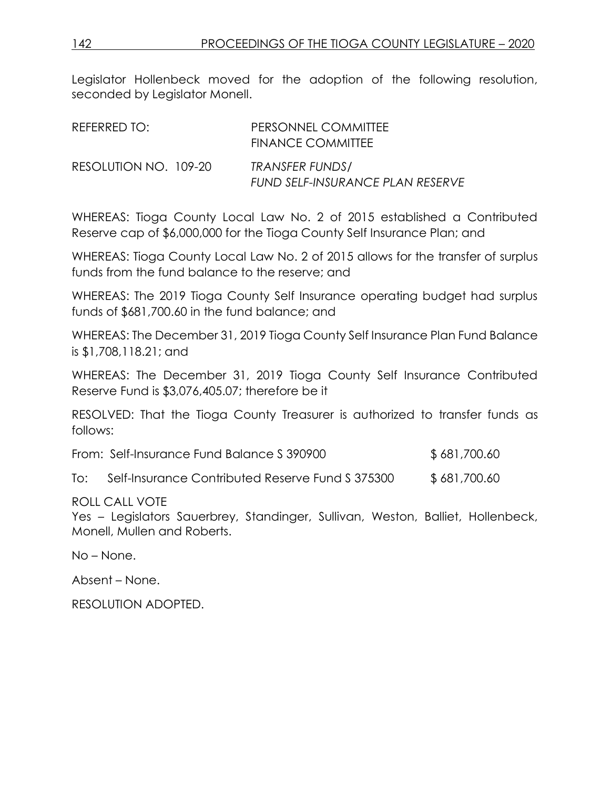Legislator Hollenbeck moved for the adoption of the following resolution, seconded by Legislator Monell.

| REFERRED TO:          | PERSONNEL COMMITTEE<br><b>FINANCE COMMITTEE</b>      |
|-----------------------|------------------------------------------------------|
| RESOLUTION NO. 109-20 | TRANSFER FUNDS /<br>FUND SELF-INSURANCE PLAN RESERVE |

WHEREAS: Tioga County Local Law No. 2 of 2015 established a Contributed Reserve cap of \$6,000,000 for the Tioga County Self Insurance Plan; and

WHEREAS: Tioga County Local Law No. 2 of 2015 allows for the transfer of surplus funds from the fund balance to the reserve; and

WHEREAS: The 2019 Tioga County Self Insurance operating budget had surplus funds of \$681,700.60 in the fund balance; and

WHEREAS: The December 31, 2019 Tioga County Self Insurance Plan Fund Balance is \$1,708,118.21; and

WHEREAS: The December 31, 2019 Tioga County Self Insurance Contributed Reserve Fund is \$3,076,405.07; therefore be it

RESOLVED: That the Tioga County Treasurer is authorized to transfer funds as follows:

| From: Self-Insurance Fund Balance S 390900 | \$681,700.60 |
|--------------------------------------------|--------------|
|                                            |              |

To: Self-Insurance Contributed Reserve Fund S 375300 \$ 681,700.60

#### ROLL CALL VOTE

Yes – Legislators Sauerbrey, Standinger, Sullivan, Weston, Balliet, Hollenbeck, Monell, Mullen and Roberts.

No – None.

Absent – None.

RESOLUTION ADOPTED.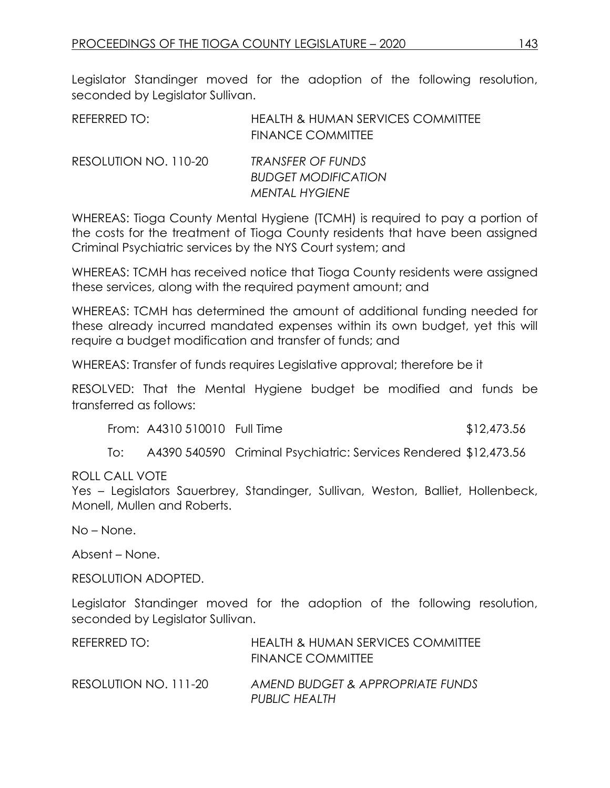Legislator Standinger moved for the adoption of the following resolution, seconded by Legislator Sullivan.

| REFERRED TO:          | <b>HEALTH &amp; HUMAN SERVICES COMMITTEE</b><br><b>FINANCE COMMITTEE</b> |
|-----------------------|--------------------------------------------------------------------------|
| RESOLUTION NO. 110-20 | TRANSFER OF FUNDS<br><b>BUDGET MODIFICATION</b><br><b>MENTAL HYGIENE</b> |

WHEREAS: Tioga County Mental Hygiene (TCMH) is required to pay a portion of the costs for the treatment of Tioga County residents that have been assigned Criminal Psychiatric services by the NYS Court system; and

WHEREAS: TCMH has received notice that Tioga County residents were assigned these services, along with the required payment amount; and

WHEREAS: TCMH has determined the amount of additional funding needed for these already incurred mandated expenses within its own budget, yet this will require a budget modification and transfer of funds; and

WHEREAS: Transfer of funds requires Legislative approval; therefore be it

RESOLVED: That the Mental Hygiene budget be modified and funds be transferred as follows:

From: A4310 510010 Full Time \$12,473.56

To: A4390 540590 Criminal Psychiatric: Services Rendered \$12,473.56

ROLL CALL VOTE

Yes – Legislators Sauerbrey, Standinger, Sullivan, Weston, Balliet, Hollenbeck, Monell, Mullen and Roberts.

No – None.

Absent – None.

RESOLUTION ADOPTED.

Legislator Standinger moved for the adoption of the following resolution, seconded by Legislator Sullivan.

| REFERRED TO:          | <b>HEALTH &amp; HUMAN SERVICES COMMITTEE</b><br>FINANCE COMMITTEE |
|-----------------------|-------------------------------------------------------------------|
| RESOLUTION NO. 111-20 | AMEND BUDGET & APPROPRIATE FUNDS<br><b>PUBLIC HEALTH</b>          |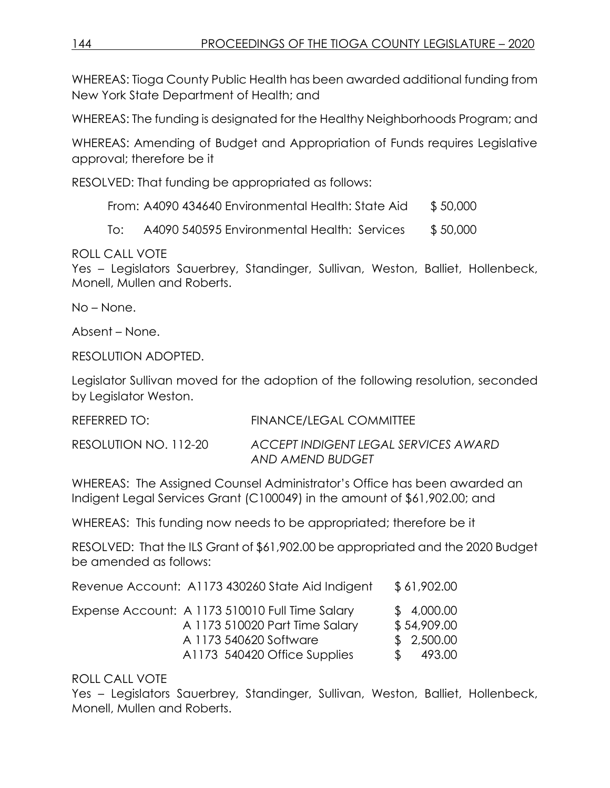WHEREAS: Tioga County Public Health has been awarded additional funding from New York State Department of Health; and

WHEREAS: The funding is designated for the Healthy Neighborhoods Program; and

WHEREAS: Amending of Budget and Appropriation of Funds requires Legislative approval; therefore be it

RESOLVED: That funding be appropriated as follows:

From: A4090 434640 Environmental Health: State Aid \$50,000

To: A4090 540595 Environmental Health: Services \$ 50,000

ROLL CALL VOTE

Yes – Legislators Sauerbrey, Standinger, Sullivan, Weston, Balliet, Hollenbeck, Monell, Mullen and Roberts.

No – None.

Absent – None.

RESOLUTION ADOPTED.

Legislator Sullivan moved for the adoption of the following resolution, seconded by Legislator Weston.

| REFERRED TO:          | <b>FINANCE/LEGAL COMMITTEE</b>                           |
|-----------------------|----------------------------------------------------------|
| RESOLUTION NO. 112-20 | ACCEPT INDIGENT LEGAL SERVICES AWARD<br>AND AMEND BUDGET |

WHEREAS: The Assigned Counsel Administrator's Office has been awarded an Indigent Legal Services Grant (C100049) in the amount of \$61,902.00; and

WHEREAS: This funding now needs to be appropriated; therefore be it

RESOLVED: That the ILS Grant of \$61,902.00 be appropriated and the 2020 Budget be amended as follows:

| Revenue Account: A1173 430260 State Aid Indigent | \$61,902.00 |
|--------------------------------------------------|-------------|
| Expense Account: A 1173 510010 Full Time Salary  | \$4,000.00  |
| A 1173 510020 Part Time Salary                   | \$54,909.00 |
| A 1173 540620 Software                           | \$2,500.00  |
| A1173 540420 Office Supplies                     | 493.00      |

# ROLL CALL VOTE

Yes – Legislators Sauerbrey, Standinger, Sullivan, Weston, Balliet, Hollenbeck, Monell, Mullen and Roberts.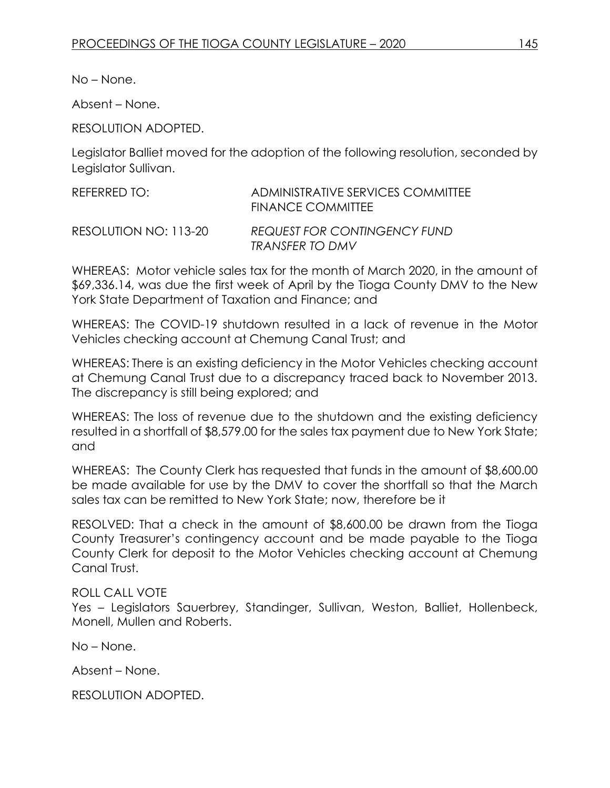Absent – None.

RESOLUTION ADOPTED.

Legislator Balliet moved for the adoption of the following resolution, seconded by Legislator Sullivan.

| REFERRED TO:          | ADMINISTRATIVE SERVICES COMMITTEE<br>FINANCE COMMITTEE |
|-----------------------|--------------------------------------------------------|
| RESOLUTION NO: 113-20 | <b>REQUEST FOR CONTINGENCY FUND</b><br>TRANSFER TO DMV |

WHEREAS: Motor vehicle sales tax for the month of March 2020, in the amount of \$69,336.14, was due the first week of April by the Tioga County DMV to the New York State Department of Taxation and Finance; and

WHEREAS: The COVID-19 shutdown resulted in a lack of revenue in the Motor Vehicles checking account at Chemung Canal Trust; and

WHEREAS: There is an existing deficiency in the Motor Vehicles checking account at Chemung Canal Trust due to a discrepancy traced back to November 2013. The discrepancy is still being explored; and

WHEREAS: The loss of revenue due to the shutdown and the existing deficiency resulted in a shortfall of \$8,579.00 for the sales tax payment due to New York State; and

WHEREAS: The County Clerk has requested that funds in the amount of \$8,600.00 be made available for use by the DMV to cover the shortfall so that the March sales tax can be remitted to New York State; now, therefore be it

RESOLVED: That a check in the amount of \$8,600.00 be drawn from the Tioga County Treasurer's contingency account and be made payable to the Tioga County Clerk for deposit to the Motor Vehicles checking account at Chemung Canal Trust.

### ROLL CALL VOTE

Yes – Legislators Sauerbrey, Standinger, Sullivan, Weston, Balliet, Hollenbeck, Monell, Mullen and Roberts.

No – None.

Absent – None.

RESOLUTION ADOPTED.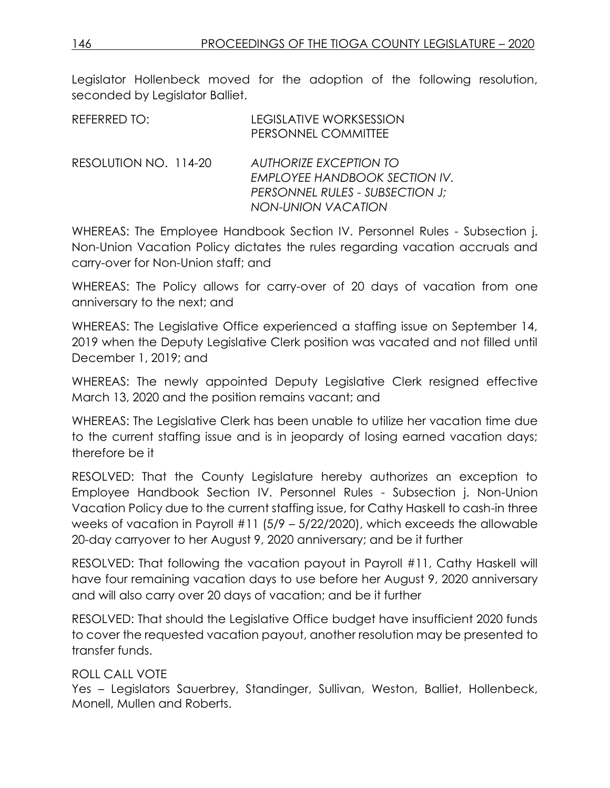Legislator Hollenbeck moved for the adoption of the following resolution, seconded by Legislator Balliet.

| REFERRED TO:          | <b>LEGISLATIVE WORKSESSION</b><br>PERSONNEL COMMITTEE                                                                                 |
|-----------------------|---------------------------------------------------------------------------------------------------------------------------------------|
| RESOLUTION NO. 114-20 | <b>AUTHORIZE EXCEPTION TO</b><br><b>EMPLOYEE HANDBOOK SECTION IV.</b><br>PERSONNEL RULES - SUBSECTION J;<br><b>NON-UNION VACATION</b> |

WHEREAS: The Employee Handbook Section IV. Personnel Rules - Subsection j. Non-Union Vacation Policy dictates the rules regarding vacation accruals and carry-over for Non-Union staff; and

WHEREAS: The Policy allows for carry-over of 20 days of vacation from one anniversary to the next; and

WHEREAS: The Legislative Office experienced a staffing issue on September 14, 2019 when the Deputy Legislative Clerk position was vacated and not filled until December 1, 2019; and

WHEREAS: The newly appointed Deputy Legislative Clerk resigned effective March 13, 2020 and the position remains vacant; and

WHEREAS: The Legislative Clerk has been unable to utilize her vacation time due to the current staffing issue and is in jeopardy of losing earned vacation days; therefore be it

RESOLVED: That the County Legislature hereby authorizes an exception to Employee Handbook Section IV. Personnel Rules - Subsection j. Non-Union Vacation Policy due to the current staffing issue, for Cathy Haskell to cash-in three weeks of vacation in Payroll #11 (5/9 – 5/22/2020), which exceeds the allowable 20-day carryover to her August 9, 2020 anniversary; and be it further

RESOLVED: That following the vacation payout in Payroll #11, Cathy Haskell will have four remaining vacation days to use before her August 9, 2020 anniversary and will also carry over 20 days of vacation; and be it further

RESOLVED: That should the Legislative Office budget have insufficient 2020 funds to cover the requested vacation payout, another resolution may be presented to transfer funds.

# ROLL CALL VOTE

Yes – Legislators Sauerbrey, Standinger, Sullivan, Weston, Balliet, Hollenbeck, Monell, Mullen and Roberts.